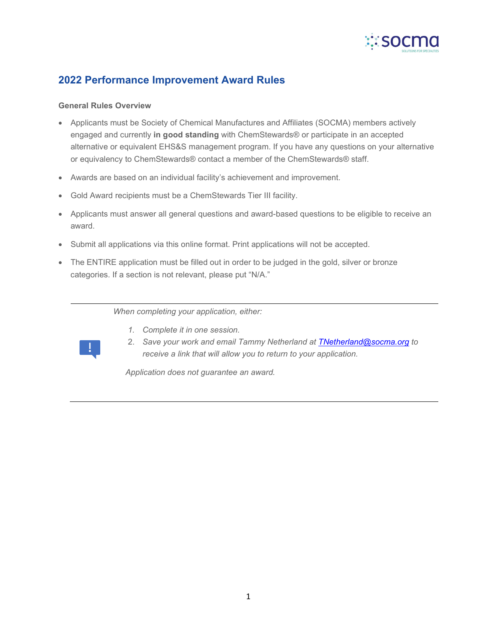

# **2022 Performance Improvement Award Rules**

#### **General Rules Overview**

- Applicants must be Society of Chemical Manufactures and Affiliates (SOCMA) members actively engaged and currently **in good standing** with ChemStewards® or participate in an accepted alternative or equivalent EHS&S management program. If you have any questions on your alternative or equivalency to ChemStewards® contact a member of the ChemStewards® staff.
- Awards are based on an individual facility's achievement and improvement.
- Gold Award recipients must be a ChemStewards Tier III facility.
- Applicants must answer all general questions and award-based questions to be eligible to receive an award.
- Submit all applications via this online format. Print applications will not be accepted.
- The ENTIRE application must be filled out in order to be judged in the gold, silver or bronze categories. If a section is not relevant, please put "N/A."

*When completing your application, either:*



- *1. Complete it in one session.* 2. *Save your work and email Tammy Netherland at [TNetherland@socma.org](mailto:TNetherland@socma.org) to*
- *receive a link that will allow you to return to your application.*

*Application does not guarantee an award.*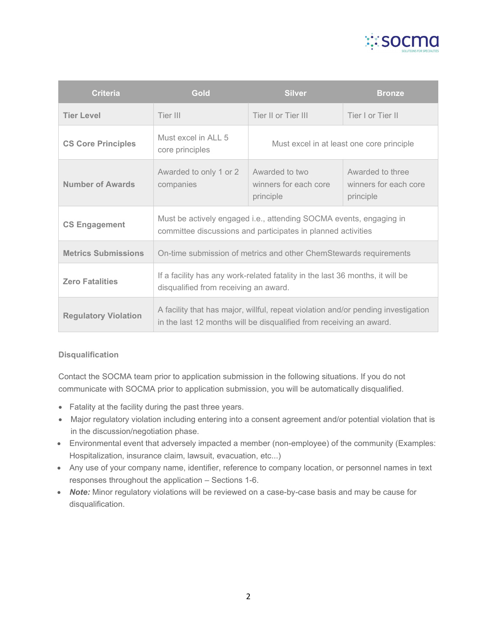

| <b>Criteria</b>             | <b>Gold</b>                                                                                                                                              | <b>Silver</b>                                        | <b>Bronze</b>                                          |
|-----------------------------|----------------------------------------------------------------------------------------------------------------------------------------------------------|------------------------------------------------------|--------------------------------------------------------|
| <b>Tier Level</b>           | Tier III                                                                                                                                                 | Tier II or Tier III                                  | Tier I or Tier II                                      |
| <b>CS Core Principles</b>   | Must excel in ALL 5<br>core principles                                                                                                                   | Must excel in at least one core principle            |                                                        |
| <b>Number of Awards</b>     | Awarded to only 1 or 2<br>companies                                                                                                                      | Awarded to two<br>winners for each core<br>principle | Awarded to three<br>winners for each core<br>principle |
| <b>CS Engagement</b>        | Must be actively engaged i.e., attending SOCMA events, engaging in<br>committee discussions and participates in planned activities                       |                                                      |                                                        |
| <b>Metrics Submissions</b>  | On-time submission of metrics and other ChemStewards requirements                                                                                        |                                                      |                                                        |
| <b>Zero Fatalities</b>      | If a facility has any work-related fatality in the last 36 months, it will be<br>disqualified from receiving an award.                                   |                                                      |                                                        |
| <b>Regulatory Violation</b> | A facility that has major, willful, repeat violation and/or pending investigation<br>in the last 12 months will be disqualified from receiving an award. |                                                      |                                                        |

# **Disqualification**

Contact the SOCMA team prior to application submission in the following situations. If you do not communicate with SOCMA prior to application submission, you will be automatically disqualified.

- Fatality at the facility during the past three years.
- Major regulatory violation including entering into a consent agreement and/or potential violation that is in the discussion/negotiation phase.
- Environmental event that adversely impacted a member (non-employee) of the community (Examples: Hospitalization, insurance claim, lawsuit, evacuation, etc...)
- Any use of your company name, identifier, reference to company location, or personnel names in text responses throughout the application – Sections 1-6.
- *Note:* Minor regulatory violations will be reviewed on a case-by-case basis and may be cause for disqualification.